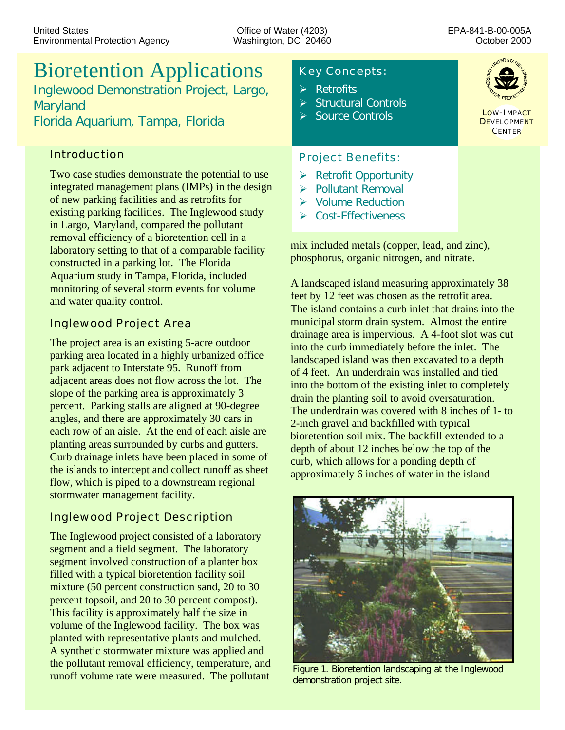| <b>Bioretention Applications</b><br>Inglewood Demonstration Project, Largo,<br><b>Maryland</b><br>Florida Aquarium, Tampa, Florida | <b>Key Concepts:</b><br>$\triangleright$ Retrofits<br>$\triangleright$ Structural Controls<br>$\triangleright$ Source Controls | LOW-IMPACT<br><b>DEVELOPMENT</b><br>CENTER |
|------------------------------------------------------------------------------------------------------------------------------------|--------------------------------------------------------------------------------------------------------------------------------|--------------------------------------------|
| <b>Introduction</b>                                                                                                                | <b>Project Benefits:</b>                                                                                                       |                                            |

# Introduction

Two case studies demonstrate the potential to use integrated management plans (IMPs) in the design of new parking facilities and as retrofits for existing parking facilities. The Inglewood study in Largo, Maryland, compared the pollutant removal efficiency of a bioretention cell in a laboratory setting to that of a comparable facility constructed in a parking lot. The Florida Aquarium study in Tampa, Florida, included monitoring of several storm events for volume and water quality control.

### Inglewood Project Area

The project area is an existing 5-acre outdoor parking area located in a highly urbanized office park adjacent to Interstate 95. Runoff from adjacent areas does not flow across the lot. The slope of the parking area is approximately 3 percent. Parking stalls are aligned at 90-degree angles, and there are approximately 30 cars in each row of an aisle. At the end of each aisle are planting areas surrounded by curbs and gutters. Curb drainage inlets have been placed in some of the islands to intercept and collect runoff as sheet flow, which is piped to a downstream regional stormwater management facility.

# Inglewood Project Description

The Inglewood project consisted of a laboratory segment and a field segment. The laboratory segment involved construction of a planter box filled with a typical bioretention facility soil mixture (50 percent construction sand, 20 to 30 percent topsoil, and 20 to 30 percent compost). This facility is approximately half the size in volume of the Inglewood facility. The box was planted with representative plants and mulched. A synthetic stormwater mixture was applied and the pollutant removal efficiency, temperature, and runoff volume rate were measured. The pollutant

### $\triangleright$  Retrofit Opportunity

- ▶ Pollutant Removal
- $\triangleright$  Volume Reduction
- **▶ Cost-Effectiveness**

mix included metals (copper, lead, and zinc), phosphorus, organic nitrogen, and nitrate.

A landscaped island measuring approximately 38 feet by 12 feet was chosen as the retrofit area. The island contains a curb inlet that drains into the municipal storm drain system. Almost the entire drainage area is impervious. A 4-foot slot was cut into the curb immediately before the inlet. The landscaped island was then excavated to a depth of 4 feet. An underdrain was installed and tied into the bottom of the existing inlet to completely drain the planting soil to avoid oversaturation. The underdrain was covered with 8 inches of 1- to 2-inch gravel and backfilled with typical bioretention soil mix. The backfill extended to a depth of about 12 inches below the top of the curb, which allows for a ponding depth of approximately 6 inches of water in the island



Figure 1. Bioretention landscaping at the Inglewood demonstration project site.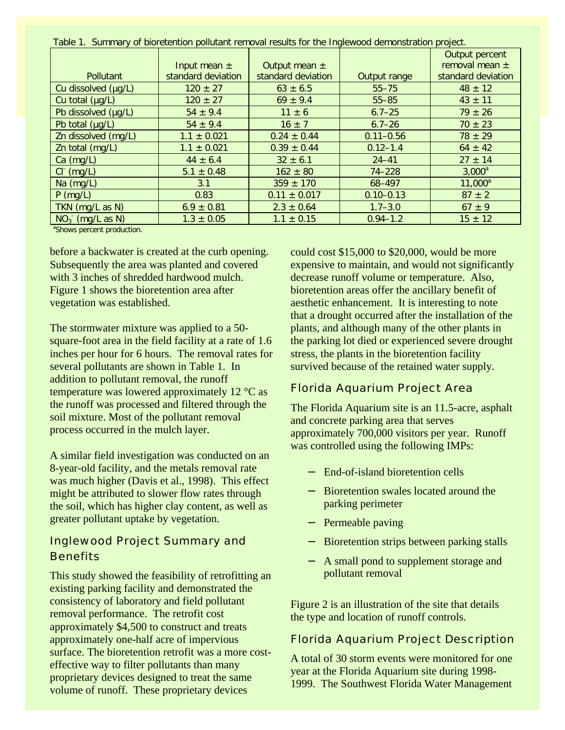| Lable T. Summary of bioretention pollutant removal results for the Inglewood demonstration project. |                    |                    |               |                    |  |
|-----------------------------------------------------------------------------------------------------|--------------------|--------------------|---------------|--------------------|--|
|                                                                                                     |                    |                    |               | Output percent     |  |
|                                                                                                     | Input mean $\pm$   | Output mean $\pm$  |               | removal mean $\pm$ |  |
| <b>Pollutant</b>                                                                                    | standard deviation | standard deviation | Output range  | standard deviation |  |
| Cu dissolved (µg/L)                                                                                 | $120 \pm 27$       | $63 \pm 6.5$       | $55 - 75$     | $48 \pm 12$        |  |
| Cu total $(\mu g/L)$                                                                                | $120 \pm 27$       | $69 \pm 9.4$       | $55 - 85$     | $43 \pm 11$        |  |
| Pb dissolved (µg/L)                                                                                 | $54 \pm 9.4$       | $11 \pm 6$         | $6.7 - 25$    | $79 \pm 26$        |  |
| Pb total $(\mu q/L)$                                                                                | $54 \pm 9.4$       | $16 \pm 7$         | $6.7 - 26$    | $70 \pm 23$        |  |
| Zn dissolved (mg/L)                                                                                 | $1.1 \pm 0.021$    | $0.24 \pm 0.44$    | $0.11 - 0.56$ | $78 \pm 29$        |  |
| Zn total (mg/L)                                                                                     | $1.1 \pm 0.021$    | $0.39 \pm 0.44$    | $0.12 - 1.4$  | $64 \pm 42$        |  |
| $Ca$ (mg/L)                                                                                         | $44 \pm 6.4$       | $32 \pm 6.1$       | $24 - 41$     | $27 \pm 14$        |  |
| $CI^{\dagger}$ (mg/L)                                                                               | $5.1 \pm 0.48$     | $162 \pm 80$       | $74 - 228$    | $3,000^a$          |  |
| $Na$ (mg/L)                                                                                         | 3.1                | $359 \pm 170$      | 68-497        | $11,000^a$         |  |
| $P$ (mg/L)                                                                                          | 0.83               | $0.11 \pm 0.017$   | $0.10 - 0.13$ | $87 \pm 2$         |  |
| TKN (mg/L as N)                                                                                     | $6.9 \pm 0.81$     | $2.3 \pm 0.64$     | $1.7 - 3.0$   | $67 \pm 9$         |  |
| $NO3$ (mg/L as N)                                                                                   | $1.3 \pm 0.05$     | $1.1 \pm 0.15$     | $0.94 - 1.2$  | $15 \pm 12$        |  |

Fable 1. Summary of bioretention pollutant remova al results for the Ingle Table 1. Summary of bioretention pollutant removal results for the Inglewood demonstration project.

<sup>a</sup>Shows percent production.

before a backwater is created at the curb opening. Subsequently the area was planted and covered with 3 inches of shredded hardwood mulch. Figure 1 shows the bioretention area after vegetation was established.

The stormwater mixture was applied to a 50 square-foot area in the field facility at a rate of 1.6 inches per hour for 6 hours. The removal rates for several pollutants are shown in Table 1. In addition to pollutant removal, the runoff temperature was lowered approximately 12 °C as the runoff was processed and filtered through the soil mixture. Most of the pollutant removal process occurred in the mulch layer.

A similar field investigation was conducted on an 8-year-old facility, and the metals removal rate was much higher (Davis et al., 1998). This effect might be attributed to slower flow rates through the soil, which has higher clay content, as well as greater pollutant uptake by vegetation.

# Inglewood Project Summary and **Benefits**

This study showed the feasibility of retrofitting an existing parking facility and demonstrated the consistency of laboratory and field pollutant removal performance. The retrofit cost approximately \$4,500 to construct and treats approximately one-half acre of impervious surface. The bioretention retrofit was a more costeffective way to filter pollutants than many proprietary devices designed to treat the same volume of runoff. These proprietary devices

could cost \$15,000 to \$20,000, would be more expensive to maintain, and would not significantly decrease runoff volume or temperature. Also, bioretention areas offer the ancillary benefit of aesthetic enhancement. It is interesting to note that a drought occurred after the installation of the plants, and although many of the other plants in the parking lot died or experienced severe drought stress, the plants in the bioretention facility survived because of the retained water supply.

# Florida Aquarium Project Area

The Florida Aquarium site is an 11.5-acre, asphalt and concrete parking area that serves approximately 700,000 visitors per year. Runoff was controlled using the following IMPs:

- − End-of-island bioretention cells
- Bioretention swales located around the parking perimeter
- − Permeable paving
- Bioretention strips between parking stalls
- − A small pond to supplement storage and pollutant removal

Figure 2 is an illustration of the site that details the type and location of runoff controls.

#### Florida Aquarium Project Description

A total of 30 storm events were monitored for one year at the Florida Aquarium site during 1998- 1999. The Southwest Florida Water Management